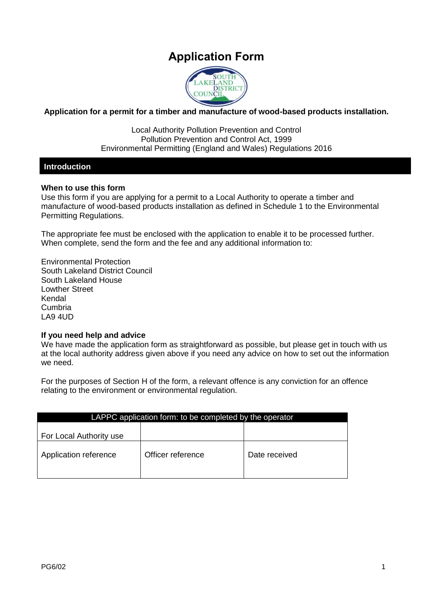# **Application Form**



## **Application for a permit for a timber and manufacture of wood-based products installation.**

Local Authority Pollution Prevention and Control Pollution Prevention and Control Act, 1999 Environmental Permitting (England and Wales) Regulations 2016

#### **Introduction**

#### **When to use this form**

Use this form if you are applying for a permit to a Local Authority to operate a timber and manufacture of wood-based products installation as defined in Schedule 1 to the Environmental Permitting Regulations.

The appropriate fee must be enclosed with the application to enable it to be processed further. When complete, send the form and the fee and any additional information to:

Environmental Protection South Lakeland District Council South Lakeland House Lowther Street Kendal Cumbria LA9 4UD

#### **If you need help and advice**

We have made the application form as straightforward as possible, but please get in touch with us at the local authority address given above if you need any advice on how to set out the information we need.

For the purposes of Section H of the form, a relevant offence is any conviction for an offence relating to the environment or environmental regulation.

| LAPPC application form: to be completed by the operator |                   |               |  |
|---------------------------------------------------------|-------------------|---------------|--|
| For Local Authority use                                 |                   |               |  |
| Application reference                                   | Officer reference | Date received |  |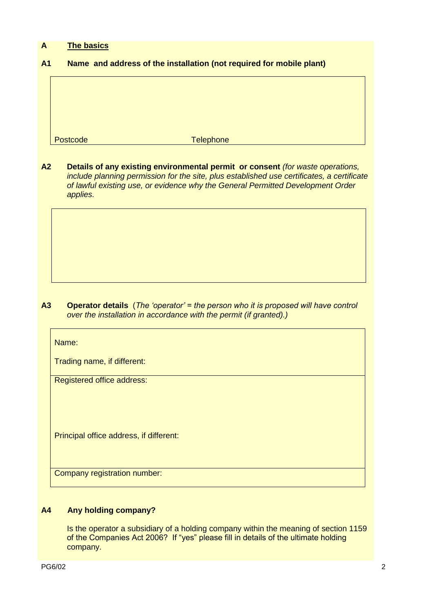#### **A The basics**

### **A1 Name and address of the installation (not required for mobile plant)**

Postcode Telephone

**A2 Details of any existing environmental permit or consent** *(for waste operations, include planning permission for the site, plus established use certificates, a certificate of lawful existing use, or evidence why the General Permitted Development Order applies.*

**A3 Operator details** (*The 'operator' = the person who it is proposed will have control over the installation in accordance with the permit (if granted).)*

| Name:                                   |
|-----------------------------------------|
| Trading name, if different:             |
| Registered office address:              |
| Principal office address, if different: |
| Company registration number:            |

#### **A4 Any holding company?**

Is the operator a subsidiary of a holding company within the meaning of section 1159 of the Companies Act 2006? If "yes" please fill in details of the ultimate holding company.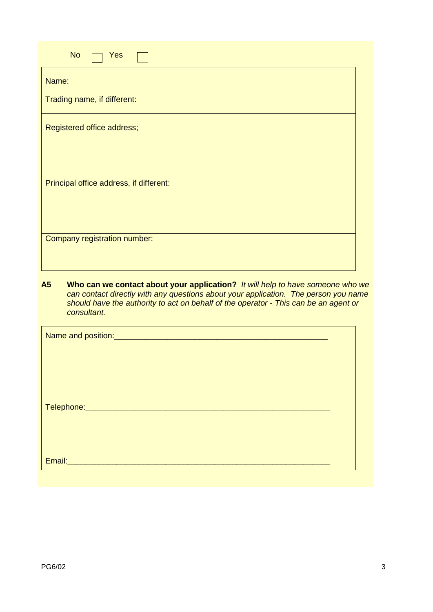| <b>Yes</b><br>Trading name, if different:<br>Registered office address;<br>Principal office address, if different:<br>Company registration number: |
|----------------------------------------------------------------------------------------------------------------------------------------------------|

*can contact directly with any questions about your application. The person you name should have the authority to act on behalf of the operator - This can be an agent or consultant.*

| Email: 2008 - 2008 - 2008 - 2019 - 2019 - 2019 - 2019 - 2019 - 2019 - 2019 - 2019 - 2019 - 2019 - 2019 - 2019 |  |
|---------------------------------------------------------------------------------------------------------------|--|
|                                                                                                               |  |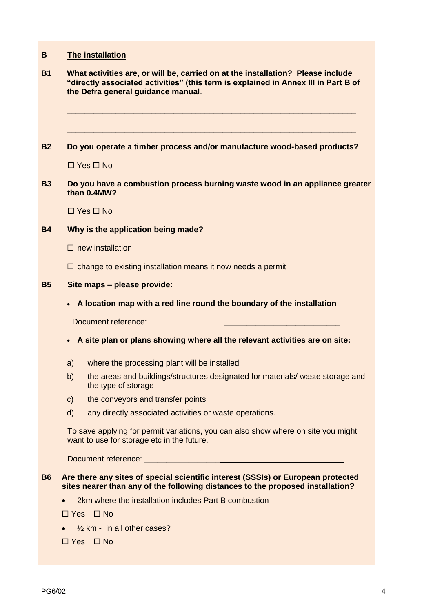## **B The installation**

| <b>B1</b> | What activities are, or will be, carried on at the installation? Please include<br>"directly associated activities" (this term is explained in Annex III in Part B of<br>the Defra general guidance manual. |
|-----------|-------------------------------------------------------------------------------------------------------------------------------------------------------------------------------------------------------------|
|           |                                                                                                                                                                                                             |
| <b>B2</b> | Do you operate a timber process and/or manufacture wood-based products?                                                                                                                                     |
|           | $\Box$ Yes $\Box$ No                                                                                                                                                                                        |
| <b>B3</b> | Do you have a combustion process burning waste wood in an appliance greater<br>than 0.4MW?                                                                                                                  |
|           | $\Box$ Yes $\Box$ No                                                                                                                                                                                        |
| <b>B4</b> | Why is the application being made?                                                                                                                                                                          |
|           | $\square$ new installation                                                                                                                                                                                  |
|           | $\Box$ change to existing installation means it now needs a permit                                                                                                                                          |
| <b>B5</b> | Site maps - please provide:                                                                                                                                                                                 |
|           | A location map with a red line round the boundary of the installation<br>$\bullet$                                                                                                                          |
|           | Document reference: Universely                                                                                                                                                                              |
|           | A site plan or plans showing where all the relevant activities are on site:<br>$\bullet$                                                                                                                    |
|           | where the processing plant will be installed<br>a)                                                                                                                                                          |
|           | the areas and buildings/structures designated for materials/ waste storage and<br>b)<br>the type of storage                                                                                                 |
|           | the conveyors and transfer points<br>$\mathsf{C}$                                                                                                                                                           |
|           | d)<br>any directly associated activities or waste operations.                                                                                                                                               |
|           | To save applying for permit variations, you can also show where on site you might<br>want to use for storage etc in the future.                                                                             |
|           |                                                                                                                                                                                                             |
| <b>B6</b> | Are there any sites of special scientific interest (SSSIs) or European protected<br>sites nearer than any of the following distances to the proposed installation?                                          |
|           | 2km where the installation includes Part B combustion                                                                                                                                                       |
|           | $\Box$ Yes $\Box$ No                                                                                                                                                                                        |
|           | $\frac{1}{2}$ km - in all other cases?                                                                                                                                                                      |
|           | $\Box$ Yes $\Box$ No                                                                                                                                                                                        |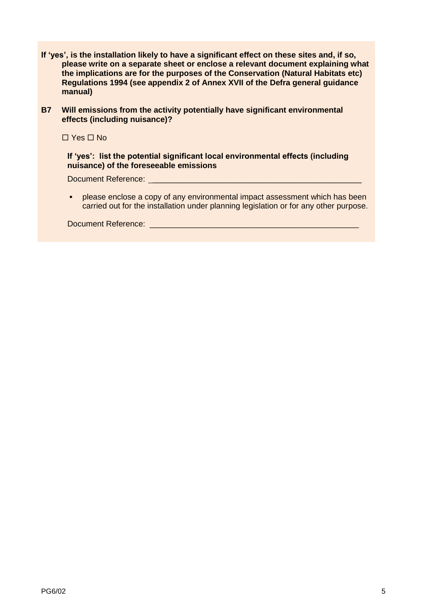- **If 'yes', is the installation likely to have a significant effect on these sites and, if so, please write on a separate sheet or enclose a relevant document explaining what the implications are for the purposes of the Conservation (Natural Habitats etc) Regulations 1994 (see appendix 2 of Annex XVII of the Defra general guidance manual)**
- **B7 Will emissions from the activity potentially have significant environmental effects (including nuisance)?**

 $\Box$  Yes  $\Box$  No

#### **If 'yes': list the potential significant local environmental effects (including nuisance) of the foreseeable emissions**

Document Reference: \_\_\_\_\_\_\_\_\_\_\_\_\_\_\_\_\_\_\_\_\_\_\_\_\_\_\_\_\_\_\_\_\_\_\_\_\_\_\_\_\_\_\_\_\_\_\_

 please enclose a copy of any environmental impact assessment which has been carried out for the installation under planning legislation or for any other purpose.

Document Reference: \_\_\_\_\_\_\_\_\_\_\_\_\_\_\_\_\_\_\_\_\_\_\_\_\_\_\_\_\_\_\_\_\_\_\_\_\_\_\_\_\_\_\_\_\_\_\_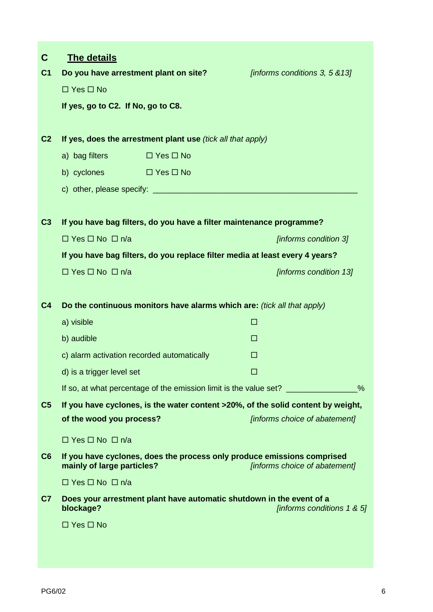| C              | <b>The details</b>                                                                                    |                                |
|----------------|-------------------------------------------------------------------------------------------------------|--------------------------------|
| C <sub>1</sub> | Do you have arrestment plant on site?                                                                 | [informs conditions 3, 5 & 13] |
|                | $\Box$ Yes $\Box$ No                                                                                  |                                |
|                | If yes, go to C2. If No, go to C8.                                                                    |                                |
|                |                                                                                                       |                                |
| C <sub>2</sub> | If yes, does the arrestment plant use (tick all that apply)                                           |                                |
|                | a) bag filters<br>$\Box$ $\Box$ $\Box$ $\Box$ $\Box$ $\Box$                                           |                                |
|                | b) cyclones $\Box$ Yes $\Box$ No                                                                      |                                |
|                |                                                                                                       |                                |
|                |                                                                                                       |                                |
| C <sub>3</sub> | If you have bag filters, do you have a filter maintenance programme?                                  |                                |
|                | $\Box$ Yes $\Box$ No $\Box$ n/a                                                                       | [informs condition 3]          |
|                | If you have bag filters, do you replace filter media at least every 4 years?                          |                                |
|                | $\Box$ Yes $\Box$ No $\Box$ n/a                                                                       | [informs condition 13]         |
|                |                                                                                                       |                                |
| C <sub>4</sub> | Do the continuous monitors have alarms which are: (tick all that apply)                               |                                |
|                | a) visible                                                                                            | □                              |
|                | b) audible                                                                                            | $\Box$                         |
|                | c) alarm activation recorded automatically                                                            | □                              |
|                | d) is a trigger level set                                                                             | □                              |
|                | If so, at what percentage of the emission limit is the value set? ______________                      | $\%$                           |
| C <sub>5</sub> | If you have cyclones, is the water content >20%, of the solid content by weight,                      |                                |
|                | of the wood you process?                                                                              | [informs choice of abatement]  |
|                | $\Box$ Yes $\Box$ No $\Box$ n/a                                                                       |                                |
| C6             | If you have cyclones, does the process only produce emissions comprised<br>mainly of large particles? | [informs choice of abatement]  |
|                | $\Box$ Yes $\Box$ No $\Box$ n/a                                                                       |                                |
| C <sub>7</sub> | Does your arrestment plant have automatic shutdown in the event of a<br>blockage?                     | [informs conditions 1 & 5]     |
|                | $\Box$ Yes $\Box$ No                                                                                  |                                |
|                |                                                                                                       |                                |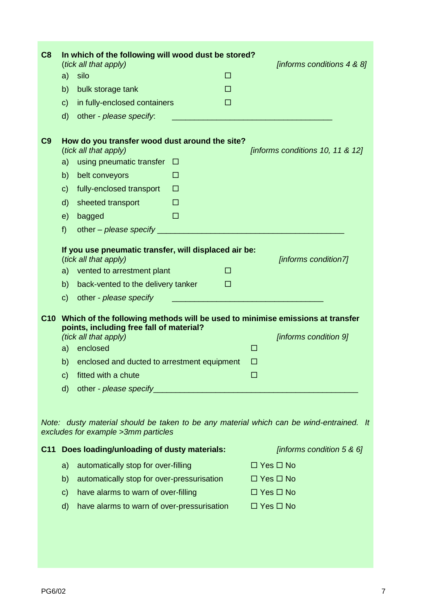| C8  |              | In which of the following will wood dust be stored?<br>(tick all that apply)                                                    |        |                                                                                                                                                                             | [informs conditions 4 & 8]       |
|-----|--------------|---------------------------------------------------------------------------------------------------------------------------------|--------|-----------------------------------------------------------------------------------------------------------------------------------------------------------------------------|----------------------------------|
|     | a)           | silo                                                                                                                            | $\Box$ |                                                                                                                                                                             |                                  |
|     | b)           | bulk storage tank                                                                                                               | $\Box$ |                                                                                                                                                                             |                                  |
|     | $\mathbf{C}$ | in fully-enclosed containers                                                                                                    | □      |                                                                                                                                                                             |                                  |
|     | $\mathsf{d}$ | other - please specify.                                                                                                         |        |                                                                                                                                                                             |                                  |
|     |              |                                                                                                                                 |        |                                                                                                                                                                             |                                  |
| C9  |              | How do you transfer wood dust around the site?<br>(tick all that apply)                                                         |        |                                                                                                                                                                             | [informs conditions 10, 11 & 12] |
|     | a)           | using pneumatic transfer                                                                                                        | $\Box$ |                                                                                                                                                                             |                                  |
|     | b)           | belt conveyors                                                                                                                  | □      |                                                                                                                                                                             |                                  |
|     | $\mathbf{C}$ | fully-enclosed transport                                                                                                        | □      |                                                                                                                                                                             |                                  |
|     | $\mathsf{d}$ | sheeted transport                                                                                                               | □      |                                                                                                                                                                             |                                  |
|     | $\epsilon$   | bagged                                                                                                                          | □      |                                                                                                                                                                             |                                  |
|     | f)           | other – please specify                                                                                                          |        | $\mathcal{L}^{\text{max}}_{\text{max}}$ and $\mathcal{L}^{\text{max}}_{\text{max}}$ and $\mathcal{L}^{\text{max}}_{\text{max}}$ and $\mathcal{L}^{\text{max}}_{\text{max}}$ |                                  |
|     |              | If you use pneumatic transfer, will displaced air be:<br>(tick all that apply)                                                  |        |                                                                                                                                                                             | [informs condition7]             |
|     | a)           | vented to arrestment plant                                                                                                      | □      |                                                                                                                                                                             |                                  |
|     | b)           | back-vented to the delivery tanker                                                                                              | □      |                                                                                                                                                                             |                                  |
|     | $\mathsf{C}$ | other - please specify                                                                                                          |        |                                                                                                                                                                             |                                  |
|     |              | C10 Which of the following methods will be used to minimise emissions at transfer<br>points, including free fall of material?   |        |                                                                                                                                                                             |                                  |
|     |              | (tick all that apply)                                                                                                           |        |                                                                                                                                                                             | [informs condition 9]            |
|     | a)           | enclosed                                                                                                                        |        | □                                                                                                                                                                           |                                  |
|     | b)           | enclosed and ducted to arrestment equipment<br>c) fitted with a chute                                                           |        | ப                                                                                                                                                                           |                                  |
|     | $\mathsf{d}$ | other - please specify                                                                                                          |        | $\Box$                                                                                                                                                                      |                                  |
|     |              |                                                                                                                                 |        |                                                                                                                                                                             |                                  |
|     |              | Note: dusty material should be taken to be any material which can be wind-entrained. It<br>excludes for example > 3mm particles |        |                                                                                                                                                                             |                                  |
| C11 |              | Does loading/unloading of dusty materials:                                                                                      |        |                                                                                                                                                                             | [informs condition 5 & 6]        |
|     | a)           | automatically stop for over-filling                                                                                             |        | $\Box$ Yes $\Box$ No                                                                                                                                                        |                                  |
|     | b)           | automatically stop for over-pressurisation                                                                                      |        | $\Box$ Yes $\Box$ No                                                                                                                                                        |                                  |
|     | $\mathbf{C}$ | have alarms to warn of over-filling                                                                                             |        | $\Box$ Yes $\Box$ No                                                                                                                                                        |                                  |
|     | $\mathsf{d}$ | have alarms to warn of over-pressurisation                                                                                      |        | $\Box$ Yes $\Box$ No                                                                                                                                                        |                                  |
|     |              |                                                                                                                                 |        |                                                                                                                                                                             |                                  |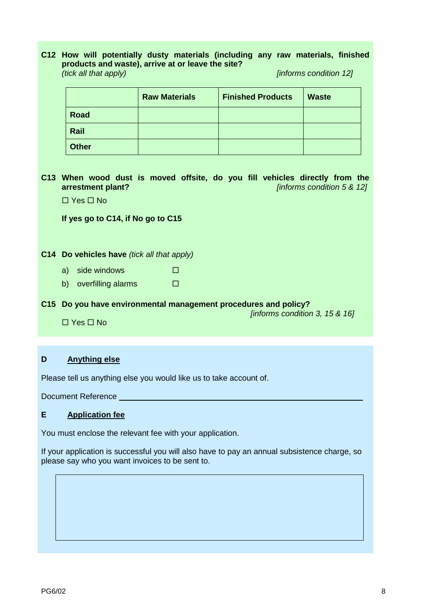#### **C12 How will potentially dusty materials (including any raw materials, finished products and waste), arrive at or leave the site?**  *(tick all that apply) [informs condition 12]*

*[informs condition 3, 15 & 16]*

|              | <b>Raw Materials</b> | <b>Finished Products</b> | <b>Waste</b> |
|--------------|----------------------|--------------------------|--------------|
| <b>Road</b>  |                      |                          |              |
| Rail         |                      |                          |              |
| <b>Other</b> |                      |                          |              |

**C13 When wood dust is moved offsite, do you fill vehicles directly from the arrestment plant?** *[informs condition 5 & 12]*

 $\Box$  Yes  $\Box$  No

**If yes go to C14, if No go to C15**

**C14 Do vehicles have** *(tick all that apply)*

- a) side windows  $\square$
- b) overfilling alarms  $\square$

**C15 Do you have environmental management procedures and policy?**

 $\Box$  Yes  $\Box$  No

#### **D Anything else**

Please tell us anything else you would like us to take account of.

Document Reference

#### **E Application fee**

You must enclose the relevant fee with your application.

If your application is successful you will also have to pay an annual subsistence charge, so please say who you want invoices to be sent to.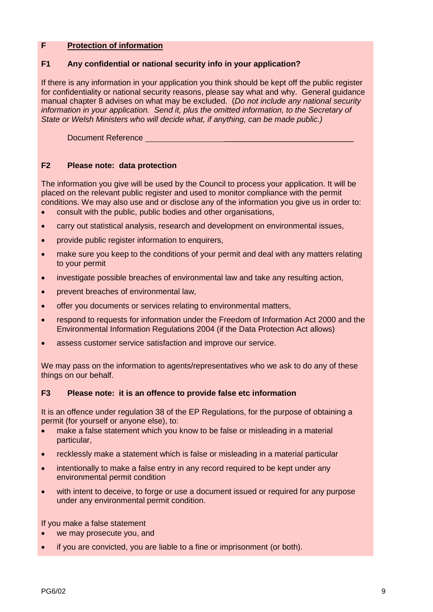#### **F Protection of information**

#### **F1 Any confidential or national security info in your application?**

If there is any information in your application you think should be kept off the public register for confidentiality or national security reasons, please say what and why. General guidance manual chapter 8 advises on what may be excluded. (*Do not include any national security information in your application. Send it, plus the omitted information, to the Secretary of State or Welsh Ministers who will decide what, if anything, can be made public.)*

Document Reference \_\_\_\_\_\_\_\_\_\_\_\_\_\_\_\_\_\_\_\_\_\_\_\_\_\_\_\_\_

#### **F2 Please note: data protection**

The information you give will be used by the Council to process your application. It will be placed on the relevant public register and used to monitor compliance with the permit conditions. We may also use and or disclose any of the information you give us in order to:

- consult with the public, public bodies and other organisations,
- carry out statistical analysis, research and development on environmental issues,
- provide public register information to enquirers,
- make sure you keep to the conditions of your permit and deal with any matters relating to your permit
- investigate possible breaches of environmental law and take any resulting action,
- prevent breaches of environmental law,
- offer you documents or services relating to environmental matters,
- respond to requests for information under the Freedom of Information Act 2000 and the Environmental Information Regulations 2004 (if the Data Protection Act allows)
- assess customer service satisfaction and improve our service.

We may pass on the information to agents/representatives who we ask to do any of these things on our behalf.

#### **F3 Please note: it is an offence to provide false etc information**

It is an offence under regulation 38 of the EP Regulations, for the purpose of obtaining a permit (for yourself or anyone else), to:

- make a false statement which you know to be false or misleading in a material particular,
- recklessly make a statement which is false or misleading in a material particular
- intentionally to make a false entry in any record required to be kept under any environmental permit condition
- with intent to deceive, to forge or use a document issued or required for any purpose under any environmental permit condition.

If you make a false statement

- we may prosecute you, and
- if you are convicted, you are liable to a fine or imprisonment (or both).